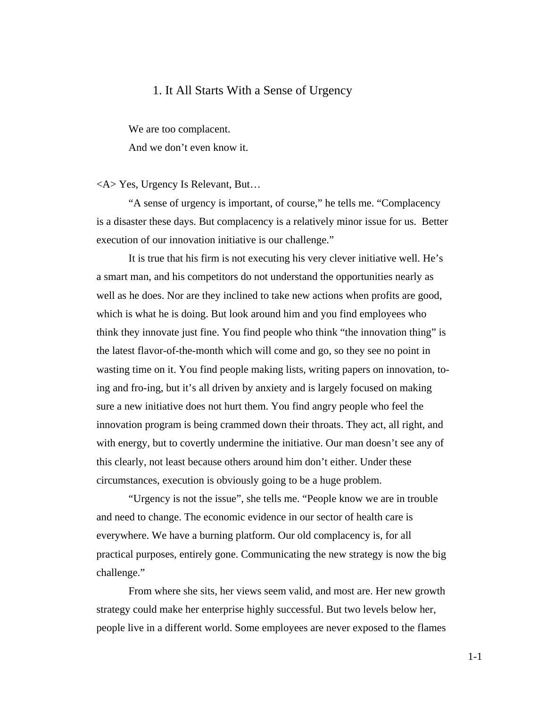## 1. It All Starts With a Sense of Urgency

We are too complacent.

And we don't even know it.

<A> Yes, Urgency Is Relevant, But…

"A sense of urgency is important, of course," he tells me. "Complacency is a disaster these days. But complacency is a relatively minor issue for us. Better execution of our innovation initiative is our challenge."

It is true that his firm is not executing his very clever initiative well. He's a smart man, and his competitors do not understand the opportunities nearly as well as he does. Nor are they inclined to take new actions when profits are good, which is what he is doing. But look around him and you find employees who think they innovate just fine. You find people who think "the innovation thing" is the latest flavor-of-the-month which will come and go, so they see no point in wasting time on it. You find people making lists, writing papers on innovation, toing and fro-ing, but it's all driven by anxiety and is largely focused on making sure a new initiative does not hurt them. You find angry people who feel the innovation program is being crammed down their throats. They act, all right, and with energy, but to covertly undermine the initiative. Our man doesn't see any of this clearly, not least because others around him don't either. Under these circumstances, execution is obviously going to be a huge problem.

"Urgency is not the issue", she tells me. "People know we are in trouble and need to change. The economic evidence in our sector of health care is everywhere. We have a burning platform. Our old complacency is, for all practical purposes, entirely gone. Communicating the new strategy is now the big challenge."

From where she sits, her views seem valid, and most are. Her new growth strategy could make her enterprise highly successful. But two levels below her, people live in a different world. Some employees are never exposed to the flames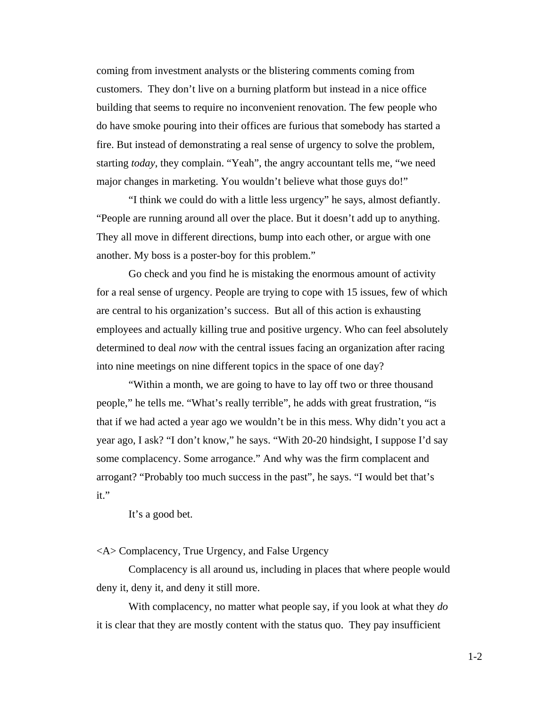coming from investment analysts or the blistering comments coming from customers. They don't live on a burning platform but instead in a nice office building that seems to require no inconvenient renovation. The few people who do have smoke pouring into their offices are furious that somebody has started a fire. But instead of demonstrating a real sense of urgency to solve the problem, starting *today*, they complain. "Yeah", the angry accountant tells me, "we need major changes in marketing. You wouldn't believe what those guys do!"

"I think we could do with a little less urgency" he says, almost defiantly. "People are running around all over the place. But it doesn't add up to anything. They all move in different directions, bump into each other, or argue with one another. My boss is a poster-boy for this problem."

Go check and you find he is mistaking the enormous amount of activity for a real sense of urgency. People are trying to cope with 15 issues, few of which are central to his organization's success. But all of this action is exhausting employees and actually killing true and positive urgency. Who can feel absolutely determined to deal *now* with the central issues facing an organization after racing into nine meetings on nine different topics in the space of one day?

"Within a month, we are going to have to lay off two or three thousand people," he tells me. "What's really terrible", he adds with great frustration, "is that if we had acted a year ago we wouldn't be in this mess. Why didn't you act a year ago, I ask? "I don't know," he says. "With 20-20 hindsight, I suppose I'd say some complacency. Some arrogance." And why was the firm complacent and arrogant? "Probably too much success in the past", he says. "I would bet that's it."

It's a good bet.

<A> Complacency, True Urgency, and False Urgency

Complacency is all around us, including in places that where people would deny it, deny it, and deny it still more.

With complacency, no matter what people say, if you look at what they *do* it is clear that they are mostly content with the status quo. They pay insufficient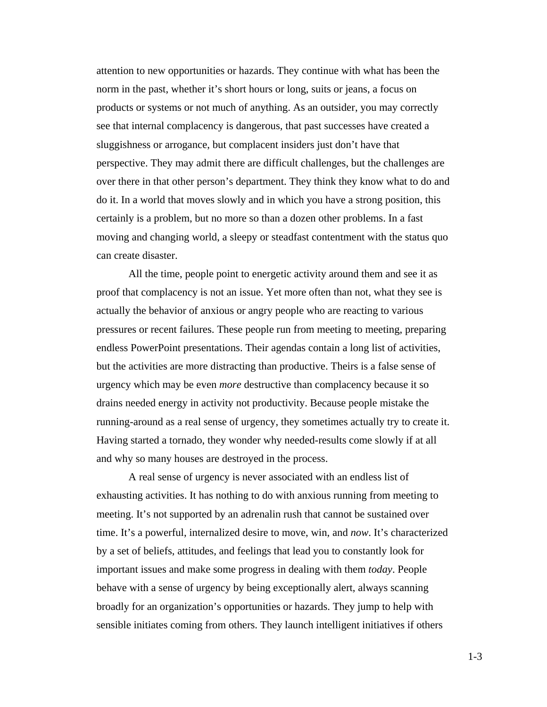attention to new opportunities or hazards. They continue with what has been the norm in the past, whether it's short hours or long, suits or jeans, a focus on products or systems or not much of anything. As an outsider, you may correctly see that internal complacency is dangerous, that past successes have created a sluggishness or arrogance, but complacent insiders just don't have that perspective. They may admit there are difficult challenges, but the challenges are over there in that other person's department. They think they know what to do and do it. In a world that moves slowly and in which you have a strong position, this certainly is a problem, but no more so than a dozen other problems. In a fast moving and changing world, a sleepy or steadfast contentment with the status quo can create disaster.

All the time, people point to energetic activity around them and see it as proof that complacency is not an issue. Yet more often than not, what they see is actually the behavior of anxious or angry people who are reacting to various pressures or recent failures. These people run from meeting to meeting, preparing endless PowerPoint presentations. Their agendas contain a long list of activities, but the activities are more distracting than productive. Theirs is a false sense of urgency which may be even *more* destructive than complacency because it so drains needed energy in activity not productivity. Because people mistake the running-around as a real sense of urgency, they sometimes actually try to create it. Having started a tornado, they wonder why needed-results come slowly if at all and why so many houses are destroyed in the process.

A real sense of urgency is never associated with an endless list of exhausting activities. It has nothing to do with anxious running from meeting to meeting. It's not supported by an adrenalin rush that cannot be sustained over time. It's a powerful, internalized desire to move, win, and *now*. It's characterized by a set of beliefs, attitudes, and feelings that lead you to constantly look for important issues and make some progress in dealing with them *today*. People behave with a sense of urgency by being exceptionally alert, always scanning broadly for an organization's opportunities or hazards. They jump to help with sensible initiates coming from others. They launch intelligent initiatives if others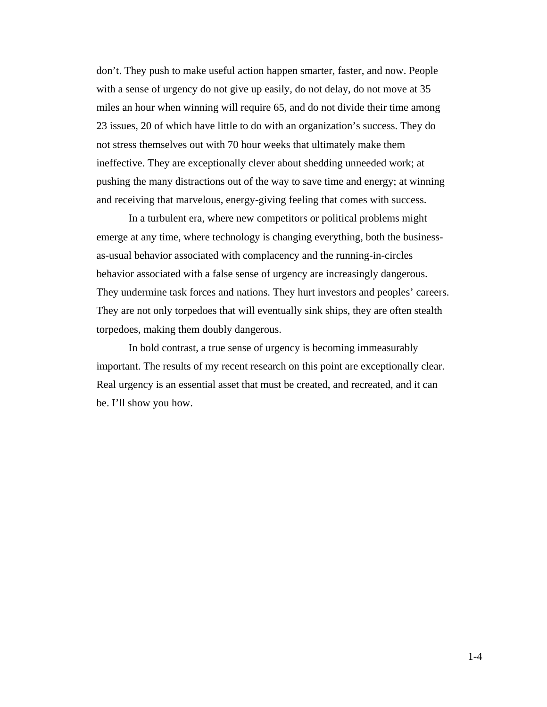don't. They push to make useful action happen smarter, faster, and now. People with a sense of urgency do not give up easily, do not delay, do not move at 35 miles an hour when winning will require 65, and do not divide their time among 23 issues, 20 of which have little to do with an organization's success. They do not stress themselves out with 70 hour weeks that ultimately make them ineffective. They are exceptionally clever about shedding unneeded work; at pushing the many distractions out of the way to save time and energy; at winning and receiving that marvelous, energy-giving feeling that comes with success.

In a turbulent era, where new competitors or political problems might emerge at any time, where technology is changing everything, both the businessas-usual behavior associated with complacency and the running-in-circles behavior associated with a false sense of urgency are increasingly dangerous. They undermine task forces and nations. They hurt investors and peoples' careers. They are not only torpedoes that will eventually sink ships, they are often stealth torpedoes, making them doubly dangerous.

In bold contrast, a true sense of urgency is becoming immeasurably important. The results of my recent research on this point are exceptionally clear. Real urgency is an essential asset that must be created, and recreated, and it can be. I'll show you how.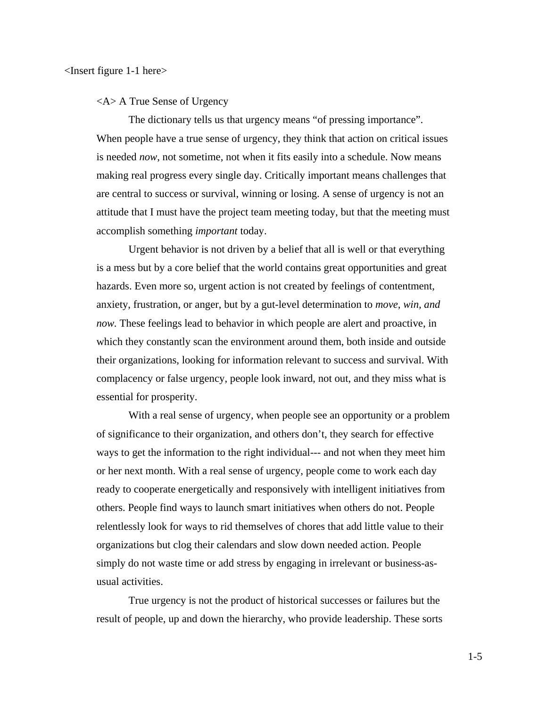<A> A True Sense of Urgency

The dictionary tells us that urgency means "of pressing importance". When people have a true sense of urgency, they think that action on critical issues is needed *now*, not sometime, not when it fits easily into a schedule. Now means making real progress every single day. Critically important means challenges that are central to success or survival, winning or losing. A sense of urgency is not an attitude that I must have the project team meeting today, but that the meeting must accomplish something *important* today.

Urgent behavior is not driven by a belief that all is well or that everything is a mess but by a core belief that the world contains great opportunities and great hazards. Even more so, urgent action is not created by feelings of contentment, anxiety, frustration, or anger, but by a gut-level determination to *move, win, and now.* These feelings lead to behavior in which people are alert and proactive, in which they constantly scan the environment around them, both inside and outside their organizations, looking for information relevant to success and survival. With complacency or false urgency, people look inward, not out, and they miss what is essential for prosperity.

With a real sense of urgency, when people see an opportunity or a problem of significance to their organization, and others don't, they search for effective ways to get the information to the right individual--- and not when they meet him or her next month. With a real sense of urgency, people come to work each day ready to cooperate energetically and responsively with intelligent initiatives from others. People find ways to launch smart initiatives when others do not. People relentlessly look for ways to rid themselves of chores that add little value to their organizations but clog their calendars and slow down needed action. People simply do not waste time or add stress by engaging in irrelevant or business-asusual activities.

True urgency is not the product of historical successes or failures but the result of people, up and down the hierarchy, who provide leadership. These sorts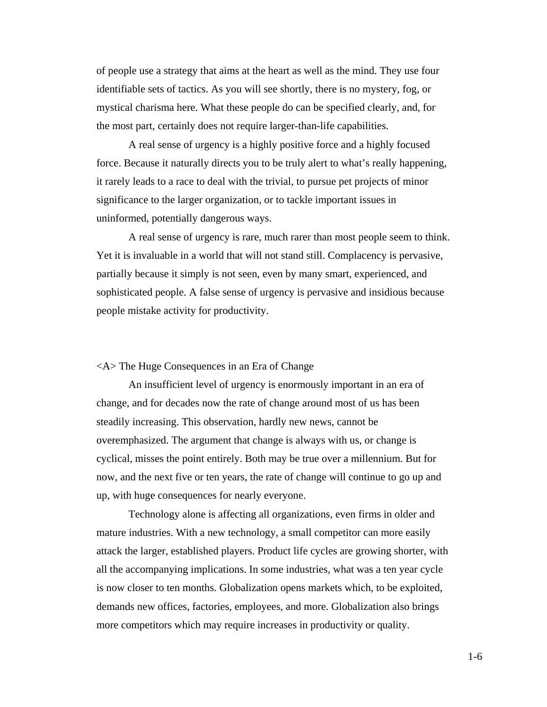of people use a strategy that aims at the heart as well as the mind. They use four identifiable sets of tactics. As you will see shortly, there is no mystery, fog, or mystical charisma here. What these people do can be specified clearly, and, for the most part, certainly does not require larger-than-life capabilities.

A real sense of urgency is a highly positive force and a highly focused force. Because it naturally directs you to be truly alert to what's really happening, it rarely leads to a race to deal with the trivial, to pursue pet projects of minor significance to the larger organization, or to tackle important issues in uninformed, potentially dangerous ways.

A real sense of urgency is rare, much rarer than most people seem to think. Yet it is invaluable in a world that will not stand still. Complacency is pervasive, partially because it simply is not seen, even by many smart, experienced, and sophisticated people. A false sense of urgency is pervasive and insidious because people mistake activity for productivity.

## <A> The Huge Consequences in an Era of Change

An insufficient level of urgency is enormously important in an era of change, and for decades now the rate of change around most of us has been steadily increasing. This observation, hardly new news, cannot be overemphasized. The argument that change is always with us, or change is cyclical, misses the point entirely. Both may be true over a millennium. But for now, and the next five or ten years, the rate of change will continue to go up and up, with huge consequences for nearly everyone.

Technology alone is affecting all organizations, even firms in older and mature industries. With a new technology, a small competitor can more easily attack the larger, established players. Product life cycles are growing shorter, with all the accompanying implications. In some industries, what was a ten year cycle is now closer to ten months. Globalization opens markets which, to be exploited, demands new offices, factories, employees, and more. Globalization also brings more competitors which may require increases in productivity or quality.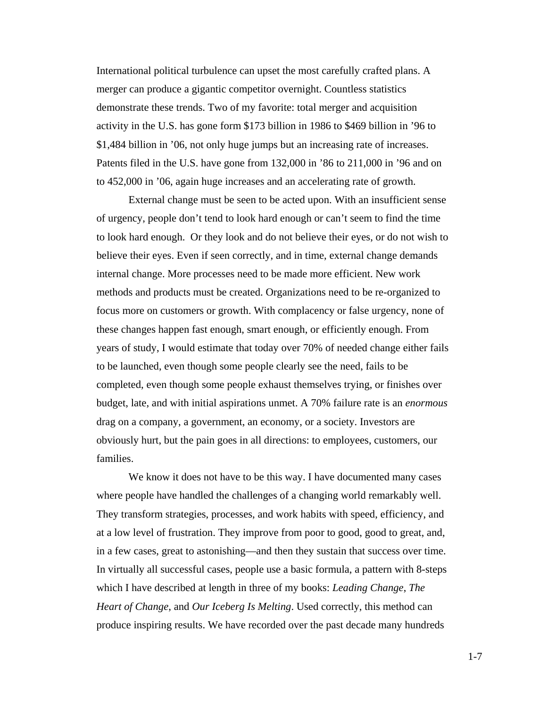International political turbulence can upset the most carefully crafted plans. A merger can produce a gigantic competitor overnight. Countless statistics demonstrate these trends. Two of my favorite: total merger and acquisition activity in the U.S. has gone form \$173 billion in 1986 to \$469 billion in '96 to \$1,484 billion in '06, not only huge jumps but an increasing rate of increases. Patents filed in the U.S. have gone from 132,000 in '86 to 211,000 in '96 and on to 452,000 in '06, again huge increases and an accelerating rate of growth.

External change must be seen to be acted upon. With an insufficient sense of urgency, people don't tend to look hard enough or can't seem to find the time to look hard enough. Or they look and do not believe their eyes, or do not wish to believe their eyes. Even if seen correctly, and in time, external change demands internal change. More processes need to be made more efficient. New work methods and products must be created. Organizations need to be re-organized to focus more on customers or growth. With complacency or false urgency, none of these changes happen fast enough, smart enough, or efficiently enough. From years of study, I would estimate that today over 70% of needed change either fails to be launched, even though some people clearly see the need, fails to be completed, even though some people exhaust themselves trying, or finishes over budget, late, and with initial aspirations unmet. A 70% failure rate is an *enormous*  drag on a company, a government, an economy, or a society. Investors are obviously hurt, but the pain goes in all directions: to employees, customers, our families.

We know it does not have to be this way. I have documented many cases where people have handled the challenges of a changing world remarkably well. They transform strategies, processes, and work habits with speed, efficiency, and at a low level of frustration. They improve from poor to good, good to great, and, in a few cases, great to astonishing—and then they sustain that success over time. In virtually all successful cases, people use a basic formula, a pattern with 8-steps which I have described at length in three of my books: *Leading Change*, *The Heart of Change*, and *Our Iceberg Is Melting*. Used correctly, this method can produce inspiring results. We have recorded over the past decade many hundreds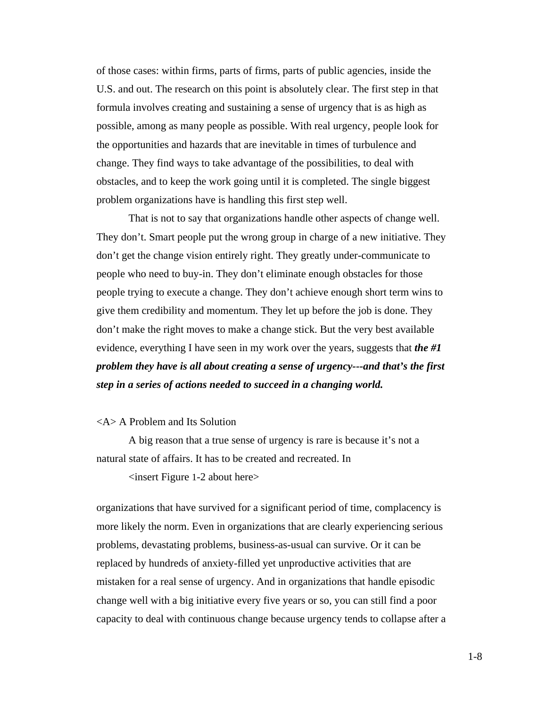of those cases: within firms, parts of firms, parts of public agencies, inside the U.S. and out. The research on this point is absolutely clear. The first step in that formula involves creating and sustaining a sense of urgency that is as high as possible, among as many people as possible. With real urgency, people look for the opportunities and hazards that are inevitable in times of turbulence and change. They find ways to take advantage of the possibilities, to deal with obstacles, and to keep the work going until it is completed. The single biggest problem organizations have is handling this first step well.

That is not to say that organizations handle other aspects of change well. They don't. Smart people put the wrong group in charge of a new initiative. They don't get the change vision entirely right. They greatly under-communicate to people who need to buy-in. They don't eliminate enough obstacles for those people trying to execute a change. They don't achieve enough short term wins to give them credibility and momentum. They let up before the job is done. They don't make the right moves to make a change stick. But the very best available evidence, everything I have seen in my work over the years, suggests that *the #1 problem they have is all about creating a sense of urgency---and that's the first step in a series of actions needed to succeed in a changing world.* 

## <A> A Problem and Its Solution

A big reason that a true sense of urgency is rare is because it's not a natural state of affairs. It has to be created and recreated. In

<insert Figure 1-2 about here>

organizations that have survived for a significant period of time, complacency is more likely the norm. Even in organizations that are clearly experiencing serious problems, devastating problems, business-as-usual can survive. Or it can be replaced by hundreds of anxiety-filled yet unproductive activities that are mistaken for a real sense of urgency. And in organizations that handle episodic change well with a big initiative every five years or so, you can still find a poor capacity to deal with continuous change because urgency tends to collapse after a